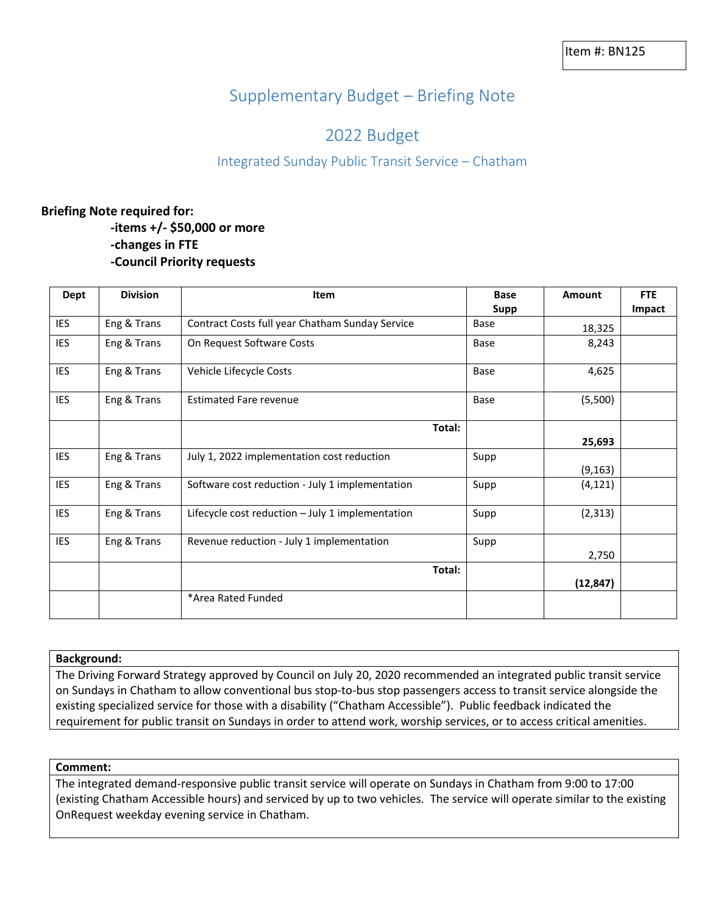# Supplementary Budget – Briefing Note

## 2022 Budget

### Integrated Sunday Public Transit Service – Chatham

### **Briefing Note required for:**

**-items +/- \$50,000 or more -changes in FTE -Council Priority requests**

| Dept       | <b>Division</b> | Item                                               | <b>Base</b> | Amount    | <b>FTE</b> |
|------------|-----------------|----------------------------------------------------|-------------|-----------|------------|
|            |                 |                                                    | Supp        |           | Impact     |
| IES        | Eng & Trans     | Contract Costs full year Chatham Sunday Service    | Base        | 18,325    |            |
| IES        | Eng & Trans     | On Request Software Costs                          | Base        | 8,243     |            |
| <b>IES</b> | Eng & Trans     | Vehicle Lifecycle Costs                            | Base        | 4,625     |            |
| <b>IES</b> | Eng & Trans     | <b>Estimated Fare revenue</b>                      | Base        | (5,500)   |            |
|            |                 | Total:                                             |             |           |            |
|            |                 |                                                    |             | 25,693    |            |
| <b>IES</b> | Eng & Trans     | July 1, 2022 implementation cost reduction         | Supp        |           |            |
|            |                 |                                                    |             | (9, 163)  |            |
| IES        | Eng & Trans     | Software cost reduction - July 1 implementation    | Supp        | (4, 121)  |            |
| <b>IES</b> | Eng & Trans     | Lifecycle cost reduction $-$ July 1 implementation | Supp        | (2,313)   |            |
| <b>IES</b> | Eng & Trans     | Revenue reduction - July 1 implementation          | Supp        | 2,750     |            |
|            |                 | Total:                                             |             |           |            |
|            |                 |                                                    |             | (12, 847) |            |
|            |                 | *Area Rated Funded                                 |             |           |            |

#### **Background:**

The Driving Forward Strategy approved by Council on July 20, 2020 recommended an integrated public transit service on Sundays in Chatham to allow conventional bus stop-to-bus stop passengers access to transit service alongside the existing specialized service for those with a disability ("Chatham Accessible"). Public feedback indicated the requirement for public transit on Sundays in order to attend work, worship services, or to access critical amenities.

#### **Comment:**

The integrated demand-responsive public transit service will operate on Sundays in Chatham from 9:00 to 17:00 (existing Chatham Accessible hours) and serviced by up to two vehicles. The service will operate similar to the existing OnRequest weekday evening service in Chatham.